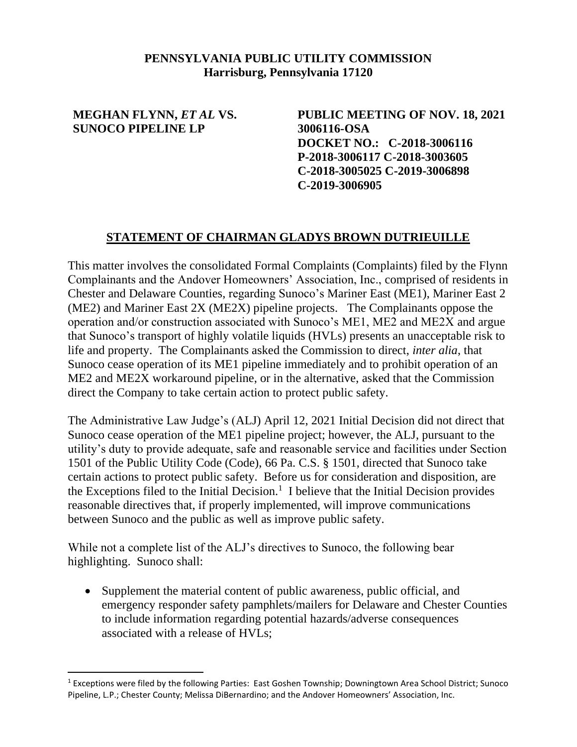## **PENNSYLVANIA PUBLIC UTILITY COMMISSION Harrisburg, Pennsylvania 17120**

## **MEGHAN FLYNN,** *ET AL* **VS. SUNOCO PIPELINE LP**

**PUBLIC MEETING OF NOV. 18, 2021 3006116-OSA DOCKET NO.: C-2018-3006116 P-2018-3006117 C-2018-3003605 C-2018-3005025 C-2019-3006898 C-2019-3006905** 

## **STATEMENT OF CHAIRMAN GLADYS BROWN DUTRIEUILLE**

This matter involves the consolidated Formal Complaints (Complaints) filed by the Flynn Complainants and the Andover Homeowners' Association, Inc., comprised of residents in Chester and Delaware Counties, regarding Sunoco's Mariner East (ME1), Mariner East 2 (ME2) and Mariner East 2X (ME2X) pipeline projects. The Complainants oppose the operation and/or construction associated with Sunoco's ME1, ME2 and ME2X and argue that Sunoco's transport of highly volatile liquids (HVLs) presents an unacceptable risk to life and property. The Complainants asked the Commission to direct, *inter alia*, that Sunoco cease operation of its ME1 pipeline immediately and to prohibit operation of an ME2 and ME2X workaround pipeline, or in the alternative, asked that the Commission direct the Company to take certain action to protect public safety.

The Administrative Law Judge's (ALJ) April 12, 2021 Initial Decision did not direct that Sunoco cease operation of the ME1 pipeline project; however, the ALJ, pursuant to the utility's duty to provide adequate, safe and reasonable service and facilities under Section 1501 of the Public Utility Code (Code), 66 Pa. C.S. § 1501, directed that Sunoco take certain actions to protect public safety. Before us for consideration and disposition, are the Exceptions filed to the Initial Decision.<sup>1</sup> I believe that the Initial Decision provides reasonable directives that, if properly implemented, will improve communications between Sunoco and the public as well as improve public safety.

While not a complete list of the ALJ's directives to Sunoco, the following bear highlighting. Sunoco shall:

• Supplement the material content of public awareness, public official, and emergency responder safety pamphlets/mailers for Delaware and Chester Counties to include information regarding potential hazards/adverse consequences associated with a release of HVLs;

<sup>&</sup>lt;sup>1</sup> Exceptions were filed by the following Parties: East Goshen Township; Downingtown Area School District; Sunoco Pipeline, L.P.; Chester County; Melissa DiBernardino; and the Andover Homeowners' Association, Inc.